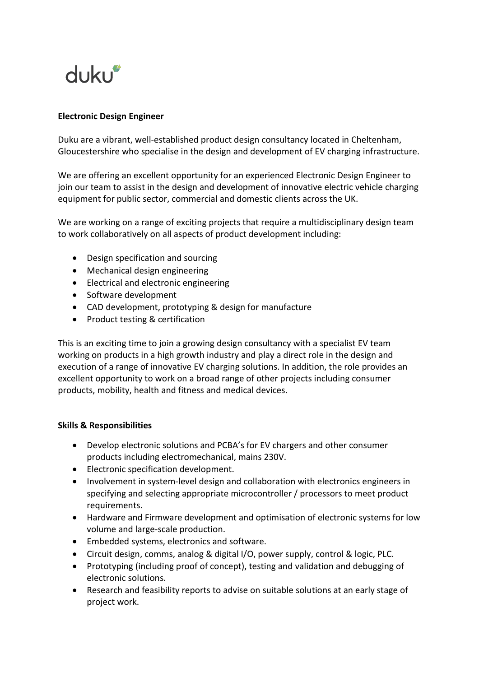

### **Electronic Design Engineer**

Duku are a vibrant, well-established product design consultancy located in Cheltenham, Gloucestershire who specialise in the design and development of EV charging infrastructure.

We are offering an excellent opportunity for an experienced Electronic Design Engineer to join our team to assist in the design and development of innovative electric vehicle charging equipment for public sector, commercial and domestic clients across the UK.

We are working on a range of exciting projects that require a multidisciplinary design team to work collaboratively on all aspects of product development including:

- Design specification and sourcing
- Mechanical design engineering
- Electrical and electronic engineering
- Software development
- CAD development, prototyping & design for manufacture
- Product testing & certification

This is an exciting time to join a growing design consultancy with a specialist EV team working on products in a high growth industry and play a direct role in the design and execution of a range of innovative EV charging solutions. In addition, the role provides an excellent opportunity to work on a broad range of other projects including consumer products, mobility, health and fitness and medical devices.

#### **Skills & Responsibilities**

- Develop electronic solutions and PCBA's for EV chargers and other consumer products including electromechanical, mains 230V.
- Electronic specification development.
- Involvement in system-level design and collaboration with electronics engineers in specifying and selecting appropriate microcontroller / processors to meet product requirements.
- Hardware and Firmware development and optimisation of electronic systems for low volume and large-scale production.
- Embedded systems, electronics and software.
- Circuit design, comms, analog & digital I/O, power supply, control & logic, PLC.
- Prototyping (including proof of concept), testing and validation and debugging of electronic solutions.
- Research and feasibility reports to advise on suitable solutions at an early stage of project work.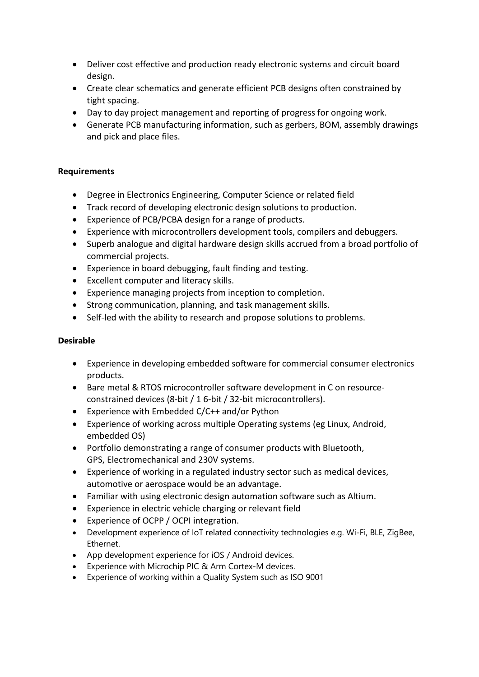- Deliver cost effective and production ready electronic systems and circuit board design.
- Create clear schematics and generate efficient PCB designs often constrained by tight spacing.
- Day to day project management and reporting of progress for ongoing work.
- Generate PCB manufacturing information, such as gerbers, BOM, assembly drawings and pick and place files.

# **Requirements**

- Degree in Electronics Engineering, Computer Science or related field
- Track record of developing electronic design solutions to production.
- Experience of PCB/PCBA design for a range of products.
- Experience with microcontrollers development tools, compilers and debuggers.
- Superb analogue and digital hardware design skills accrued from a broad portfolio of commercial projects.
- Experience in board debugging, fault finding and testing.
- Excellent computer and literacy skills.
- Experience managing projects from inception to completion.
- Strong communication, planning, and task management skills.
- Self-led with the ability to research and propose solutions to problems.

# **Desirable**

- Experience in developing embedded software for commercial consumer electronics products.
- Bare metal & RTOS microcontroller software development in C on resourceconstrained devices (8-bit / 1 6-bit / 32-bit microcontrollers).
- Experience with Embedded C/C++ and/or Python
- Experience of working across multiple Operating systems (eg Linux, Android, embedded OS)
- Portfolio demonstrating a range of consumer products with Bluetooth, GPS, Electromechanical and 230V systems.
- Experience of working in a regulated industry sector such as medical devices, automotive or aerospace would be an advantage.
- Familiar with using electronic design automation software such as Altium.
- Experience in electric vehicle charging or relevant field
- Experience of OCPP / OCPI integration.
- Development experience of IoT related connectivity technologies e.g. Wi-Fi, BLE, ZigBee, Ethernet.
- App development experience for iOS / Android devices.
- Experience with Microchip PIC & Arm Cortex-M devices.
- Experience of working within a Quality System such as ISO 9001